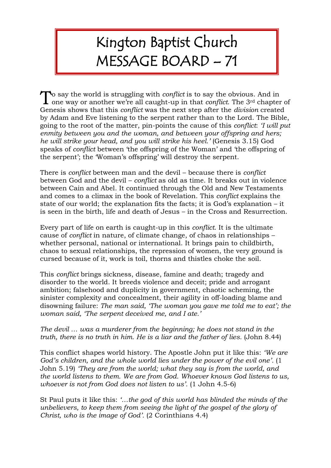## Kington Baptist Church MESSAGE BOARD – 71

o say the world is struggling with *conflict* is to say the obvious. And in To say the world is struggling with *conflict* is to say the obvious. And in one way or another we're all caught-up in that *conflict*. The 3<sup>rd</sup> chapter of Genesis shows that this *conflict* was the next step after the *division* created by Adam and Eve listening to the serpent rather than to the Lord. The Bible, going to the root of the matter, pin-points the cause of this *conflict*: *'I will put enmity between you and the woman, and between your offspring and hers; he will strike your head, and you will strike his heel.'* (Genesis 3.15) God speaks of *conflict* between 'the offspring of the Woman' and 'the offspring of the serpent'; the 'Woman's offspring' will destroy the serpent.

There is *conflict* between man and the devil – because there is *conflict* between God and the devil – *conflict* as old as time. It breaks out in violence between Cain and Abel. It continued through the Old and New Testaments and comes to a climax in the book of Revelation. This *conflict* explains the state of our world; the explanation fits the facts; it is God's explanation – it is seen in the birth, life and death of Jesus – in the Cross and Resurrection.

Every part of life on earth is caught-up in this *conflict*. It is the ultimate cause of *conflict* in nature, of climate change, of chaos in relationships – whether personal, national or international. It brings pain to childbirth, chaos to sexual relationships, the repression of women, the very ground is cursed because of it, work is toil, thorns and thistles choke the soil.

This *conflict* brings sickness, disease, famine and death; tragedy and disorder to the world. It breeds violence and deceit; pride and arrogant ambition; falsehood and duplicity in government, chaotic scheming, the sinister complexity and concealment, their agility in off-loading blame and disowning failure: *The man said, 'The woman you gave me told me to eat'; the woman said, 'The serpent deceived me, and I ate.'*

## *The devil … was a murderer from the beginning; he does not stand in the truth, there is no truth in him. He is a liar and the father of lies.* (John 8.44)

This conflict shapes world history. The Apostle John put it like this: *'We are God's children, and the whole world lies under the power of the evil one'.* (1 John 5.19) *'They are from the world; what they say is from the world, and the world listens to them. We are from God. Whoever knows God listens to us, whoever is not from God does not listen to us'.* (1 John 4.5-6)

St Paul puts it like this: *'…the god of this world has blinded the minds of the unbelievers, to keep them from seeing the light of the gospel of the glory of Christ, who is the image of God'.* (2 Corinthians 4.4)